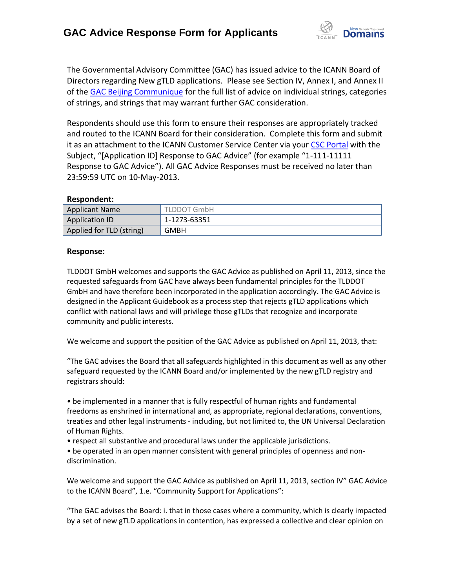

The Governmental Advisory Committee (GAC) has issued advice to the ICANN Board of Directors regarding New gTLD applications. Please see Section IV, Annex I, and Annex II of the [GAC Beijing Communique](http://www.icann.org/en/news/correspondence/gac-to-board-18apr13-en.pdf) for the full list of advice on individual strings, categories of strings, and strings that may warrant further GAC consideration.

Respondents should use this form to ensure their responses are appropriately tracked and routed to the ICANN Board for their consideration. Complete this form and submit it as an attachment to the ICANN Customer Service Center via your CSC [Portal](https://myicann.secure.force.com/) with the Subject, "[Application ID] Response to GAC Advice" (for example "1-111-11111 Response to GAC Advice"). All GAC Advice Responses must be received no later than 23:59:59 UTC on 10-May-2013.

#### **Respondent:**

| <b>Applicant Name</b>    | <b>TLDDOT GmbH</b> |
|--------------------------|--------------------|
| <b>Application ID</b>    | 1-1273-63351       |
| Applied for TLD (string) | GMBH               |

#### **Response:**

TLDDOT GmbH welcomes and supports the GAC Advice as published on April 11, 2013, since the requested safeguards from GAC have always been fundamental principles for the TLDDOT GmbH and have therefore been incorporated in the application accordingly. The GAC Advice is designed in the Applicant Guidebook as a process step that rejects gTLD applications which conflict with national laws and will privilege those gTLDs that recognize and incorporate community and public interests.

We welcome and support the position of the GAC Advice as published on April 11, 2013, that:

"The GAC advises the Board that all safeguards highlighted in this document as well as any other safeguard requested by the ICANN Board and/or implemented by the new gTLD registry and registrars should:

• be implemented in a manner that is fully respectful of human rights and fundamental freedoms as enshrined in international and, as appropriate, regional declarations, conventions, treaties and other legal instruments - including, but not limited to, the UN Universal Declaration of Human Rights.

• respect all substantive and procedural laws under the applicable jurisdictions.

• be operated in an open manner consistent with general principles of openness and non‐ discrimination.

We welcome and support the GAC Advice as published on April 11, 2013, section IV" GAC Advice to the ICANN Board", 1.e. "Community Support for Applications":

"The GAC advises the Board: i. that in those cases where a community, which is clearly impacted by a set of new gTLD applications in contention, has expressed a collective and clear opinion on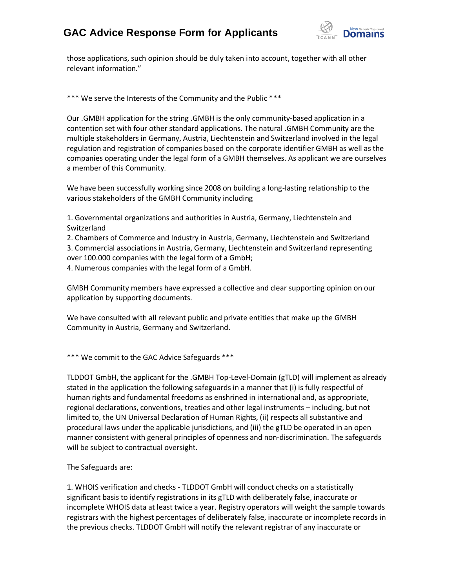

those applications, such opinion should be duly taken into account, together with all other relevant information."

\*\*\* We serve the Interests of the Community and the Public \*\*\*

Our .GMBH application for the string .GMBH is the only community-based application in a contention set with four other standard applications. The natural .GMBH Community are the multiple stakeholders in Germany, Austria, Liechtenstein and Switzerland involved in the legal regulation and registration of companies based on the corporate identifier GMBH as well as the companies operating under the legal form of a GMBH themselves. As applicant we are ourselves a member of this Community.

We have been successfully working since 2008 on building a long-lasting relationship to the various stakeholders of the GMBH Community including

1. Governmental organizations and authorities in Austria, Germany, Liechtenstein and Switzerland

2. Chambers of Commerce and Industry in Austria, Germany, Liechtenstein and Switzerland 3. Commercial associations in Austria, Germany, Liechtenstein and Switzerland representing over 100.000 companies with the legal form of a GmbH;

4. Numerous companies with the legal form of a GmbH.

GMBH Community members have expressed a collective and clear supporting opinion on our application by supporting documents.

We have consulted with all relevant public and private entities that make up the GMBH Community in Austria, Germany and Switzerland.

\*\*\* We commit to the GAC Advice Safeguards \*\*\*

TLDDOT GmbH, the applicant for the .GMBH Top-Level-Domain (gTLD) will implement as already stated in the application the following safeguards in a manner that (i) is fully respectful of human rights and fundamental freedoms as enshrined in international and, as appropriate, regional declarations, conventions, treaties and other legal instruments – including, but not limited to, the UN Universal Declaration of Human Rights, (ii) respects all substantive and procedural laws under the applicable jurisdictions, and (iii) the gTLD be operated in an open manner consistent with general principles of openness and non‐discrimination. The safeguards will be subject to contractual oversight.

The Safeguards are:

1. WHOIS verification and checks - TLDDOT GmbH will conduct checks on a statistically significant basis to identify registrations in its gTLD with deliberately false, inaccurate or incomplete WHOIS data at least twice a year. Registry operators will weight the sample towards registrars with the highest percentages of deliberately false, inaccurate or incomplete records in the previous checks. TLDDOT GmbH will notify the relevant registrar of any inaccurate or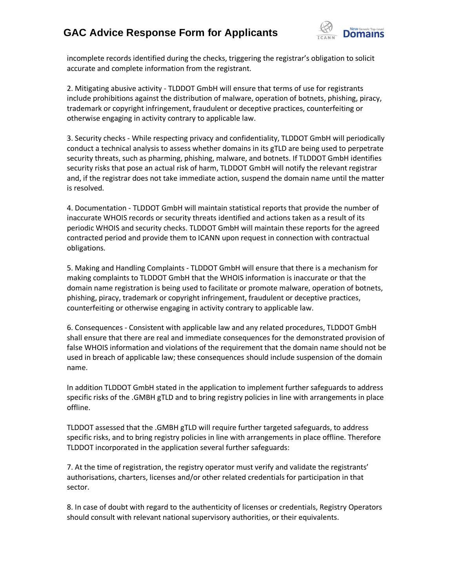

incomplete records identified during the checks, triggering the registrar's obligation to solicit accurate and complete information from the registrant.

2. Mitigating abusive activity - TLDDOT GmbH will ensure that terms of use for registrants include prohibitions against the distribution of malware, operation of botnets, phishing, piracy, trademark or copyright infringement, fraudulent or deceptive practices, counterfeiting or otherwise engaging in activity contrary to applicable law.

3. Security checks - While respecting privacy and confidentiality, TLDDOT GmbH will periodically conduct a technical analysis to assess whether domains in its gTLD are being used to perpetrate security threats, such as pharming, phishing, malware, and botnets. If TLDDOT GmbH identifies security risks that pose an actual risk of harm, TLDDOT GmbH will notify the relevant registrar and, if the registrar does not take immediate action, suspend the domain name until the matter is resolved.

4. Documentation - TLDDOT GmbH will maintain statistical reports that provide the number of inaccurate WHOIS records or security threats identified and actions taken as a result of its periodic WHOIS and security checks. TLDDOT GmbH will maintain these reports for the agreed contracted period and provide them to ICANN upon request in connection with contractual obligations.

5. Making and Handling Complaints - TLDDOT GmbH will ensure that there is a mechanism for making complaints to TLDDOT GmbH that the WHOIS information is inaccurate or that the domain name registration is being used to facilitate or promote malware, operation of botnets, phishing, piracy, trademark or copyright infringement, fraudulent or deceptive practices, counterfeiting or otherwise engaging in activity contrary to applicable law.

6. Consequences - Consistent with applicable law and any related procedures, TLDDOT GmbH shall ensure that there are real and immediate consequences for the demonstrated provision of false WHOIS information and violations of the requirement that the domain name should not be used in breach of applicable law; these consequences should include suspension of the domain name.

In addition TLDDOT GmbH stated in the application to implement further safeguards to address specific risks of the .GMBH gTLD and to bring registry policies in line with arrangements in place offline.

TLDDOT assessed that the .GMBH gTLD will require further targeted safeguards, to address specific risks, and to bring registry policies in line with arrangements in place offline. Therefore TLDDOT incorporated in the application several further safeguards:

7. At the time of registration, the registry operator must verify and validate the registrants' authorisations, charters, licenses and/or other related credentials for participation in that sector.

8. In case of doubt with regard to the authenticity of licenses or credentials, Registry Operators should consult with relevant national supervisory authorities, or their equivalents.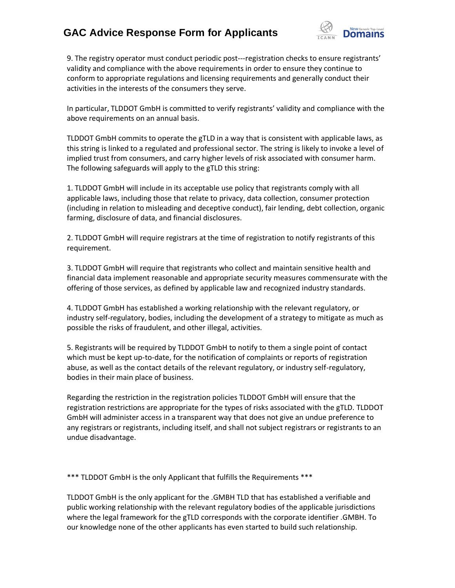

9. The registry operator must conduct periodic post-‐‐registration checks to ensure registrants' validity and compliance with the above requirements in order to ensure they continue to conform to appropriate regulations and licensing requirements and generally conduct their activities in the interests of the consumers they serve.

In particular, TLDDOT GmbH is committed to verify registrants' validity and compliance with the above requirements on an annual basis.

TLDDOT GmbH commits to operate the gTLD in a way that is consistent with applicable laws, as this string is linked to a regulated and professional sector. The string is likely to invoke a level of implied trust from consumers, and carry higher levels of risk associated with consumer harm. The following safeguards will apply to the gTLD this string:

1. TLDDOT GmbH will include in its acceptable use policy that registrants comply with all applicable laws, including those that relate to privacy, data collection, consumer protection (including in relation to misleading and deceptive conduct), fair lending, debt collection, organic farming, disclosure of data, and financial disclosures.

2. TLDDOT GmbH will require registrars at the time of registration to notify registrants of this requirement.

3. TLDDOT GmbH will require that registrants who collect and maintain sensitive health and financial data implement reasonable and appropriate security measures commensurate with the offering of those services, as defined by applicable law and recognized industry standards.

4. TLDDOT GmbH has established a working relationship with the relevant regulatory, or industry self‐regulatory, bodies, including the development of a strategy to mitigate as much as possible the risks of fraudulent, and other illegal, activities.

5. Registrants will be required by TLDDOT GmbH to notify to them a single point of contact which must be kept up-to-date, for the notification of complaints or reports of registration abuse, as well as the contact details of the relevant regulatory, or industry self-regulatory, bodies in their main place of business.

Regarding the restriction in the registration policies TLDDOT GmbH will ensure that the registration restrictions are appropriate for the types of risks associated with the gTLD. TLDDOT GmbH will administer access in a transparent way that does not give an undue preference to any registrars or registrants, including itself, and shall not subject registrars or registrants to an undue disadvantage.

\*\*\* TLDDOT GmbH is the only Applicant that fulfills the Requirements \*\*\*

TLDDOT GmbH is the only applicant for the .GMBH TLD that has established a verifiable and public working relationship with the relevant regulatory bodies of the applicable jurisdictions where the legal framework for the gTLD corresponds with the corporate identifier .GMBH. To our knowledge none of the other applicants has even started to build such relationship.